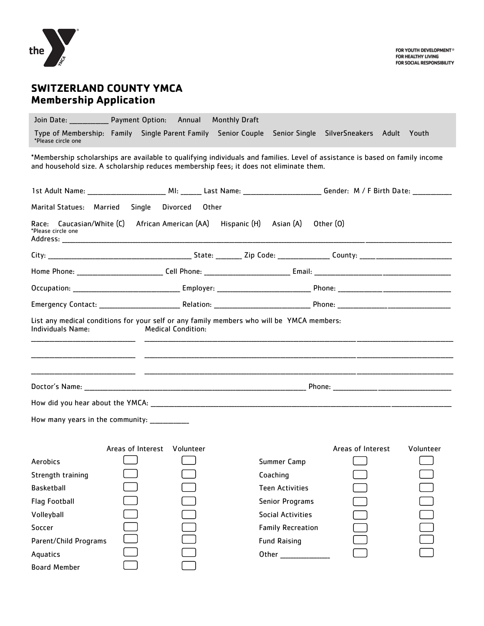

# **SWITZERLAND COUNTY YMCA Membership Application**

Join Date: \_\_\_\_\_\_\_\_\_\_\_\_\_\_\_ Payment Option: Annual Monthly Draft Type of Membership: Family Single Parent Family Senior Couple Senior Single SilverSneakers Adult Youth \*Please circle one

\*Membership scholarships are available to qualifying individuals and families. Level of assistance is based on family income and household size. A scholarship reduces membership fees; it does not eliminate them.

| 1st Adult Name: ______________________________ MI: _______ Last Name: ___________________________Gender: M / F Birth Date: ____________ |                             |  |                                                                                                                                                                                                                                |                   |           |
|-----------------------------------------------------------------------------------------------------------------------------------------|-----------------------------|--|--------------------------------------------------------------------------------------------------------------------------------------------------------------------------------------------------------------------------------|-------------------|-----------|
| Marital Statues: Married                                                                                                                | Single Divorced Other       |  |                                                                                                                                                                                                                                |                   |           |
| Race: Caucasian/White (C) African American (AA) Hispanic (H) Asian (A) Other (O)<br>*Please circle one                                  |                             |  |                                                                                                                                                                                                                                |                   |           |
|                                                                                                                                         |                             |  |                                                                                                                                                                                                                                |                   |           |
|                                                                                                                                         |                             |  |                                                                                                                                                                                                                                |                   |           |
|                                                                                                                                         |                             |  |                                                                                                                                                                                                                                |                   |           |
|                                                                                                                                         |                             |  |                                                                                                                                                                                                                                |                   |           |
| List any medical conditions for your self or any family members who will be YMCA members:<br>Individuals Name:                          | <b>Medical Condition:</b>   |  |                                                                                                                                                                                                                                |                   |           |
|                                                                                                                                         |                             |  |                                                                                                                                                                                                                                |                   |           |
|                                                                                                                                         |                             |  |                                                                                                                                                                                                                                |                   |           |
| How many years in the community: _____________                                                                                          |                             |  |                                                                                                                                                                                                                                |                   |           |
|                                                                                                                                         | Areas of Interest Volunteer |  |                                                                                                                                                                                                                                | Areas of Interest | Volunteer |
| <b>Aerobics</b>                                                                                                                         |                             |  | Summer Camp                                                                                                                                                                                                                    |                   |           |
| Strength training                                                                                                                       |                             |  | Coaching                                                                                                                                                                                                                       |                   |           |
| <b>Basketball</b>                                                                                                                       |                             |  | <b>Teen Activities</b>                                                                                                                                                                                                         |                   |           |
| <b>Flag Football</b>                                                                                                                    |                             |  | <b>Senior Programs</b>                                                                                                                                                                                                         |                   |           |
| Volleyball                                                                                                                              |                             |  | <b>Social Activities</b>                                                                                                                                                                                                       |                   |           |
| Soccer                                                                                                                                  |                             |  | <b>Family Recreation</b>                                                                                                                                                                                                       |                   |           |
| Parent/Child Programs                                                                                                                   |                             |  | <b>Fund Raising</b>                                                                                                                                                                                                            |                   |           |
| Aquatics                                                                                                                                |                             |  | Other and the control of the control of the control of the control of the control of the control of the control of the control of the control of the control of the control of the control of the control of the control of th |                   |           |
| <b>Board Member</b>                                                                                                                     |                             |  |                                                                                                                                                                                                                                |                   |           |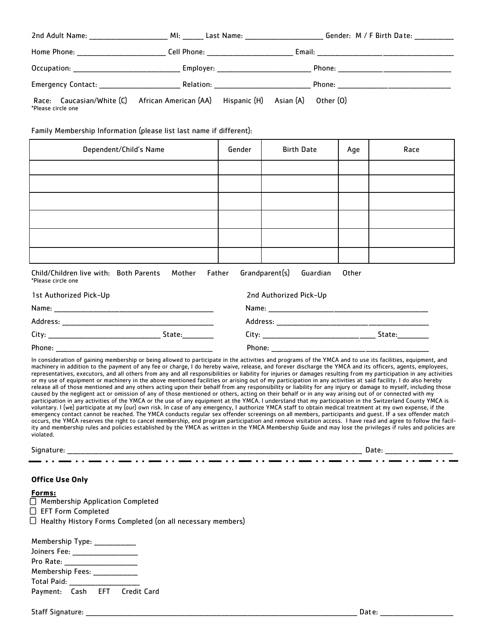|                    | MI: Last Name: 1990 MI:                                                          | Gender: M / F Birth Date: |
|--------------------|----------------------------------------------------------------------------------|---------------------------|
|                    | Cell Phone: _____________________                                                |                           |
|                    | Employer: _________________________                                              |                           |
| Emergency Contact: |                                                                                  | Phone: __________________ |
| *Please circle one | Race: Caucasian/White (C) African American (AA) Hispanic (H) Asian (A) Other (O) |                           |

Family Membership Information (please list last name if different):

| Dependent/Child's Name                           | Gender | <b>Birth Date</b>          | Age   | Race |
|--------------------------------------------------|--------|----------------------------|-------|------|
|                                                  |        |                            |       |      |
|                                                  |        |                            |       |      |
|                                                  |        |                            |       |      |
|                                                  |        |                            |       |      |
|                                                  |        |                            |       |      |
|                                                  |        |                            |       |      |
| Child/Children live with: Both Parents<br>Mother | Father | Grandparent(s)<br>Guardian | Other |      |

| *Please circle one     |        |                        |        |
|------------------------|--------|------------------------|--------|
| 1st Authorized Pick-Up |        | 2nd Authorized Pick-Up |        |
| Name:                  |        | Name:                  |        |
| Address:               |        | Address:               |        |
| City:                  | State: | Citv:                  | State: |

Phone: \_\_\_\_\_\_\_\_\_\_\_\_\_\_\_\_\_\_\_\_\_\_\_\_\_\_\_\_\_\_\_\_\_\_\_\_\_\_\_\_\_\_\_\_\_\_\_\_\_\_\_\_\_\_\_\_\_\_\_\_ Phone: \_\_\_\_\_\_\_\_\_\_\_\_\_\_\_\_\_\_\_\_\_\_\_\_\_\_\_\_\_\_\_\_\_\_\_\_\_\_\_\_\_\_\_\_\_\_\_\_\_\_\_\_\_\_\_\_\_\_\_\_

In consideration of gaining membership or being allowed to participate in the activities and programs of the YMCA and to use its facilities, equipment, and machinery in addition to the payment of any fee or charge, I do hereby waive, release, and forever discharge the YMCA and its officers, agents, employees, representatives, executors, and all others from any and all responsibilities or liability for injuries or damages resulting from my participation in any activities or my use of equipment or machinery in the above mentioned facilities or arising out of my participation in any activities at said facility. I do also hereby release all of those mentioned and any others acting upon their behalf from any responsibility or liability for any injury or damage to myself, including those caused by the negligent act or omission of any of those mentioned or others, acting on their behalf or in any way arising out of or connected with my participation in any activities of the YMCA or the use of any equipment at the YMCA. I understand that my participation in the Switzerland County YMCA is voluntary. I (we) participate at my (our) own risk. In case of any emergency, I authorize YMCA staff to obtain medical treatment at my own expense, if the emergency contact cannot be reached. The YMCA conducts regular sex offender screenings on all members, participants and guest. IF a sex offender match occurs, the YMCA reserves the right to cancel membership, end program participation and remove visitation access. I have read and agree to follow the facility and membership rules and policies established by the YMCA as written in the YMCA Membership Guide and may lose the privileges if rules and policies are violated.

Signature: \_\_\_\_\_\_\_\_\_\_\_\_\_\_\_\_\_\_\_\_\_\_\_\_\_\_\_\_\_\_\_\_\_\_\_\_\_\_\_\_\_\_\_\_\_\_\_\_\_\_\_\_\_\_\_\_\_\_\_\_\_\_\_\_\_\_\_\_\_\_\_\_\_\_\_\_\_\_\_\_\_\_\_\_\_\_\_\_\_\_\_\_\_\_\_\_\_\_\_\_\_\_\_\_\_\_\_\_\_\_\_\_\_ Date: \_\_\_\_\_\_\_\_\_\_\_\_\_\_\_\_\_\_\_\_\_\_\_\_\_\_

#### **Office Use Only**

| × | .,<br>۰,<br>۰. |  |
|---|----------------|--|
|   |                |  |

**Membership Application Completed** EFT Form Completed  $\Box$  Healthy History Forms Completed (on all necessary members)

| Membership Type:                  |                          |                               |
|-----------------------------------|--------------------------|-------------------------------|
| Joiners Fee: ____________________ |                          |                               |
| Pro Rate:                         |                          |                               |
| Membership Fees:                  |                          |                               |
| Total Paid:                       | <b>Contract Contract</b> |                               |
|                                   |                          | Payment: Cash EFT Credit Card |

Staff Signature: \_\_\_\_\_\_\_\_\_\_\_\_\_\_\_\_\_\_\_\_\_\_\_\_\_\_\_\_\_\_\_\_\_\_\_\_\_\_\_\_\_\_\_\_\_\_\_\_\_\_\_\_\_\_\_\_\_\_\_\_\_\_\_\_\_\_\_\_\_\_\_\_\_\_\_\_\_\_\_\_\_\_\_\_\_\_\_\_\_\_\_\_\_\_\_\_\_\_\_\_\_\_\_\_ Date: \_\_\_\_\_\_\_\_\_\_\_\_\_\_\_\_\_\_\_\_\_\_\_\_\_\_\_\_